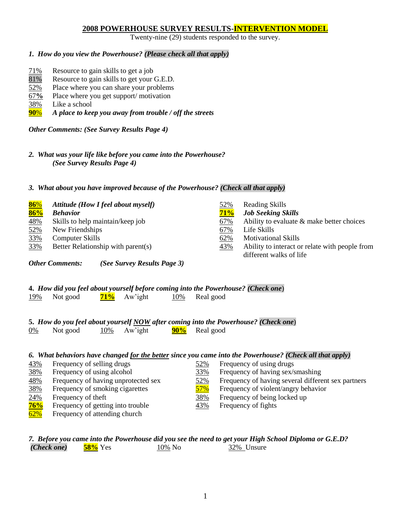# **2008 POWERHOUSE SURVEY RESULTS-INTERVENTION MODEL**

Twenty-nine (29) students responded to the survey.

## *1. How do you view the Powerhouse? (Please check all that apply)*

- 71% Resource to gain skills to get a job
- 81% Resource to gain skills to get your G.E.D.
- 52% Place where you can share your problems
- 67**%** Place where you get support/ motivation
- 38% Like a school
- **90**% *A place to keep you away from trouble / off the streets*

*Other Comments: (See Survey Results Page 4)*

*2. What was your life like before you came into the Powerhouse? (See Survey Results Page 4)*

#### *3. What about you have improved because of the Powerhouse? (Check all that apply)*

| 86%        | Attitude (How I feel about myself) | 52% | <b>Reading Skills</b>                          |
|------------|------------------------------------|-----|------------------------------------------------|
| 86%        | <b>Behavior</b>                    | 71% | <b>Job Seeking Skills</b>                      |
| <u>48%</u> | Skills to help maintain/keep job   | 67% | Ability to evaluate $\&$ make better choices   |
| 52%        | New Friendships                    | 67% | Life Skills                                    |
| 33%        | <b>Computer Skills</b>             | 62% | <b>Motivational Skills</b>                     |
| 33%        | Better Relationship with parent(s) | 43% | Ability to interact or relate with people from |
|            |                                    |     | different walks of life                        |

*Other Comments: (See Survey Results Page 3)*

#### **4.** *How did you feel about yourself before coming into the Powerhouse? (Check one*) 19% Not good **71%** Aw'ight 10% Real good

#### **5.** *How do you feel about yourself NOW after coming into the Powerhouse? (Check one*) 0% Not good 10% Aw'ight **90%** Real good

| 6. What behaviors have changed for the better since you came into the Powerhouse? (Check all that apply) |                                     |            |                                                    |  |  |  |
|----------------------------------------------------------------------------------------------------------|-------------------------------------|------------|----------------------------------------------------|--|--|--|
| 43%                                                                                                      | Frequency of selling drugs          | 52%        | Frequency of using drugs                           |  |  |  |
| 38%                                                                                                      | Frequency of using alcohol          | 33%        | Frequency of having sex/smashing                   |  |  |  |
| 48%                                                                                                      | Frequency of having unprotected sex | <u>52%</u> | Frequency of having several different sex partners |  |  |  |
| 38%                                                                                                      | Frequency of smoking cigarettes     | 57%        | Frequency of violent/angry behavior                |  |  |  |
| 24%                                                                                                      | Frequency of theft                  | 38%        | Frequency of being locked up                       |  |  |  |
| 76%                                                                                                      | Frequency of getting into trouble   | 43%        | Frequency of fights                                |  |  |  |
| 62%                                                                                                      | Frequency of attending church       |            |                                                    |  |  |  |

# *7. Before you came into the Powerhouse did you see the need to get your High School Diploma or G.E.D?*  $(Check\ one)$   $58\%$  Yes  $10\%$  No  $32\%$  Unsure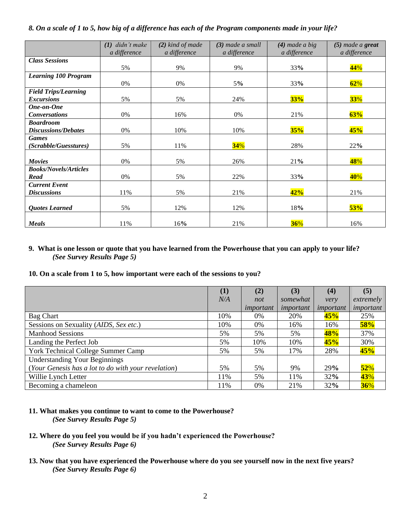## *8. On a scale of 1 to 5, how big of a difference has each of the Program components made in your life?*

|                              | didn't make<br>(I) | $(2)$ kind of made | (3) made a small | $(4)$ made a big | $(5)$ made a great |  |
|------------------------------|--------------------|--------------------|------------------|------------------|--------------------|--|
|                              | a difference       | a difference       | a difference     | a difference     | a difference       |  |
| <b>Class Sessions</b>        |                    |                    |                  |                  |                    |  |
|                              | 5%                 | 9%                 | 9%               | 33%              | 44%                |  |
| <b>Learning 100 Program</b>  |                    |                    |                  |                  |                    |  |
|                              | 0%                 | 0%                 | 5%               | 33%              | 62%                |  |
| <b>Field Trips/Learning</b>  |                    |                    |                  |                  |                    |  |
| <b>Excursions</b>            | 5%                 | 5%                 | 24%              | 33%              | <b>33%</b>         |  |
| One-on-One                   |                    |                    |                  |                  |                    |  |
| <b>Conversations</b>         | 0%                 | 16%                | 0%               | 21%              | 63%                |  |
| <b>Boardroom</b>             |                    |                    |                  |                  |                    |  |
| <b>Discussions/Debates</b>   | 0%                 | 10%                | 10%              | 35%              | 45%                |  |
| <b>Games</b>                 |                    |                    |                  |                  |                    |  |
| (Scrabble/Guesstures)        | 5%                 | 11%                | 34%              | 28%              | 22%                |  |
|                              |                    |                    |                  |                  |                    |  |
| <b>Movies</b>                | 0%                 | 5%                 | 26%              | 21%              | 48%                |  |
| <b>Books/Novels/Articles</b> |                    |                    |                  |                  |                    |  |
| Read                         | 0%                 | 5%                 | 22%              | 33%              | 40%                |  |
| <b>Current Event</b>         |                    |                    |                  |                  |                    |  |
| <b>Discussions</b>           | 11%                | 5%                 | 21%              | 42%              | 21%                |  |
|                              |                    |                    |                  |                  |                    |  |
| <b>Quotes Learned</b>        | 5%                 | 12%                | 12%              | 18%              | 53%                |  |
|                              |                    |                    |                  |                  |                    |  |
| <b>Meals</b>                 | 11%                | 16%                | 21%              | 36%              | 16%                |  |

# **9. What is one lesson or quote that you have learned from the Powerhouse that you can apply to your life?** *(See Survey Results Page 5)*

# **10. On a scale from 1 to 5, how important were each of the sessions to you?**

|                                                     | (1) | (2)       | (3)       | (4)       | (5)       |
|-----------------------------------------------------|-----|-----------|-----------|-----------|-----------|
|                                                     | N/A | not       | somewhat  | very      | extremely |
|                                                     |     | important | important | important | important |
| <b>Bag Chart</b>                                    | 10% | 0%        | 20%       | 45%       | 25%       |
| Sessions on Sexuality (AIDS, Sex etc.)              | 10% | 0%        | 16%       | 16%       | 58%       |
| <b>Manhood Sessions</b>                             | 5%  | 5%        | 5%        | 48%       | 37%       |
| Landing the Perfect Job                             | 5%  | 10%       | 10%       | 45%       | 30%       |
| York Technical College Summer Camp                  | 5%  | 5%        | 17%       | 28%       | 45%       |
| <b>Understanding Your Beginnings</b>                |     |           |           |           |           |
| (Your Genesis has a lot to do with your revelation) | 5%  | 5%        | 9%        | 29%       | 52%       |
| Willie Lynch Letter                                 | 11% | 5%        | 11%       | 32%       | 43%       |
| Becoming a chameleon                                | 11% | 0%        | 21%       | 32%       | 36%       |

- **11. What makes you continue to want to come to the Powerhouse?**  *(See Survey Results Page 5)*
- **12. Where do you feel you would be if you hadn't experienced the Powerhouse?** *(See Survey Results Page 6)*
- **13. Now that you have experienced the Powerhouse where do you see yourself now in the next five years?** *(See Survey Results Page 6)*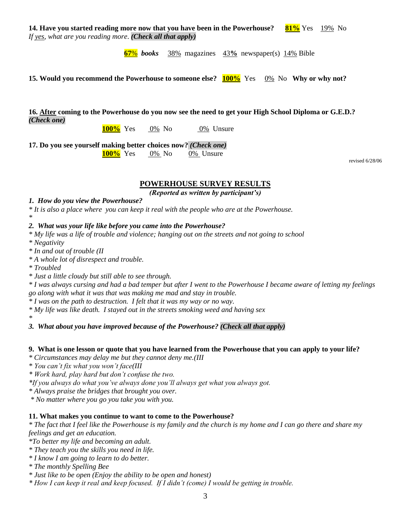**14. Have you started reading more now that you have been in the Powerhouse? 81%** Yes 19% No *If yes, what are you reading more*. *(Check all that apply)*

**67**% *books* 38% magazines 43**%** newspaper(s) 14% Bible

**15. Would you recommend the Powerhouse to someone else? 100%** Yes 0% No **Why or why not?**

**16. After coming to the Powerhouse do you now see the need to get your High School Diploma or G.E.D.?** *(Check one)*

**100%** Yes 0% No 0% Unsure

**17. Do you see yourself making better choices now?** *(Check one)*

**100%** Yes 0% No 0% Unsure

revised 6/28/06

# **POWERHOUSE SURVEY RESULTS**

*(Reported as written by participant's)*

#### *1. How do you view the Powerhouse?*

*\* It is also a place where you can keep it real with the people who are at the Powerhouse.*

#### *\* 2. What was your life like before you came into the Powerhouse?*

*\* My life was a life of trouble and violence; hanging out on the streets and not going to school*

*\* Negativity*

*\* In and out of trouble (II*

*\* A whole lot of disrespect and trouble.*

*\* Troubled*

*\* Just a little cloudy but still able to see through.*

*\* I was always cursing and had a bad temper but after I went to the Powerhouse I became aware of letting my feelings go along with what it was that was making me mad and stay in trouble.*

*\* I was on the path to destruction. I felt that it was my way or no way.*

*\* My life was like death. I stayed out in the streets smoking weed and having sex*

*\* 3. What about you have improved because of the Powerhouse? (Check all that apply)*

#### **9. What is one lesson or quote that you have learned from the Powerhouse that you can apply to your life?**

*\* Circumstances may delay me but they cannot deny me.(III*

*\* You can't fix what you won't face(III*

*\* Work hard, play hard but don't confuse the two.*

*\*If you always do what you've always done you'll always get what you always got.*

*\* Always praise the bridges that brought you over.*

*\* No matter where you go you take you with you.*

#### **11. What makes you continue to want to come to the Powerhouse?**

*\* The fact that I feel like the Powerhouse is my family and the church is my home and I can go there and share my feelings and get an education.*

*\*To better my life and becoming an adult.*

*\* They teach you the skills you need in life.*

*\* I know I am going to learn to do better.*

*\* The monthly Spelling Bee*

*\* Just like to be open (Enjoy the ability to be open and honest)*

*\* How I can keep it real and keep focused. If I didn't (come) I would be getting in trouble.*